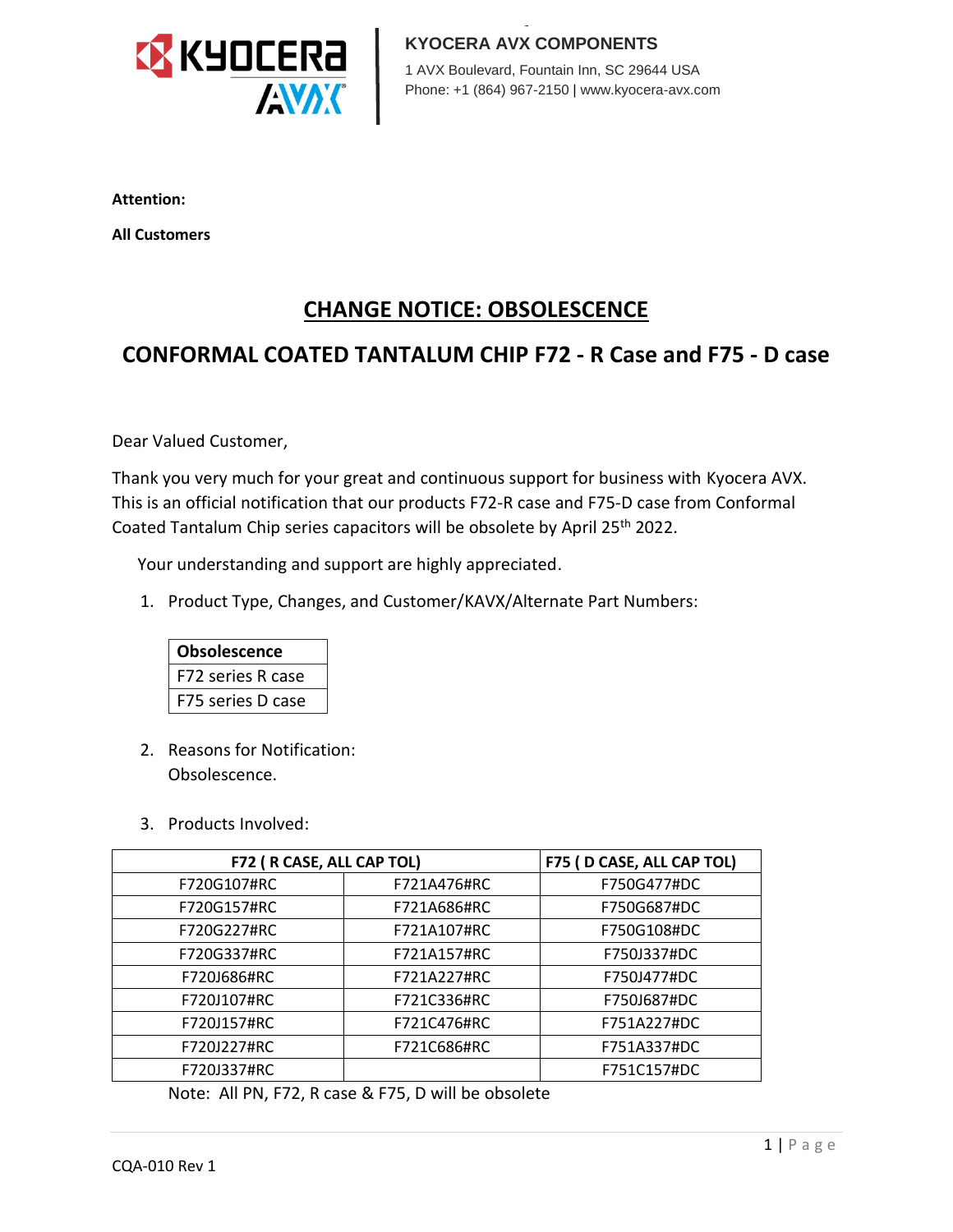

1 AVX Boulevard, Fountain Inn, SC 29644 USA 1 AVX Boulevard, Fountain Inn, SC 29644 USA Phone: +1 (864) 967-2150 | www.kyocera-avx.com Phone: +1 (864) 967-2150 | www.kyocera-avx.com

**Attention:**

**All Customers** 

# **CHANGE NOTICE: OBSOLESCENCE**

# **CONFORMAL COATED TANTALUM CHIP F72 - R Case and F75 - D case**

Dear Valued Customer,

Thank you very much for your great and continuous support for business with Kyocera AVX. This is an official notification that our products F72-R case and F75-D case from Conformal Coated Tantalum Chip series capacitors will be obsolete by April 25<sup>th</sup> 2022.

Your understanding and support are highly appreciated.

1. Product Type, Changes, and Customer/KAVX/Alternate Part Numbers:



- 2. Reasons for Notification: Obsolescence.
- 3. Products Involved:

| F72 (R CASE, ALL CAP TOL) |             | F75 (D CASE, ALL CAP TOL) |
|---------------------------|-------------|---------------------------|
| F720G107#RC               | F721A476#RC | F750G477#DC               |
| F720G157#RC               | F721A686#RC | F750G687#DC               |
| F720G227#RC               | F721A107#RC | F750G108#DC               |
| F720G337#RC               | F721A157#RC | F750J337#DC               |
| F720J686#RC               | F721A227#RC | F750J477#DC               |
| F720J107#RC               | F721C336#RC | F750J687#DC               |
| F720J157#RC               | F721C476#RC | F751A227#DC               |
| F720J227#RC               | F721C686#RC | F751A337#DC               |
| F720J337#RC               |             | F751C157#DC               |

Note: All PN, F72, R case & F75, D will be obsolete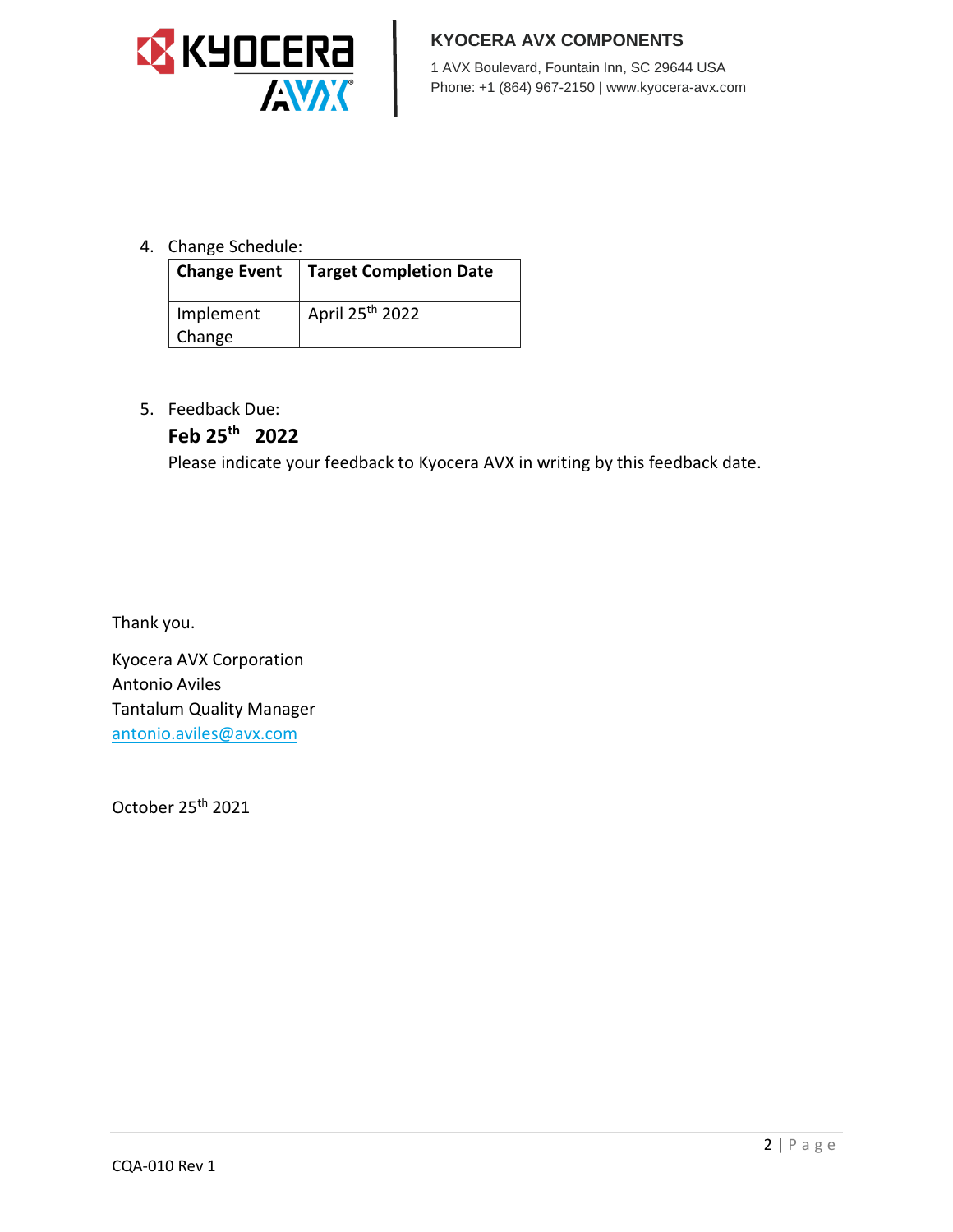

#### **KYOCERA AVX COMPONENTS**

1 AVX Boulevard, Fountain Inn, SC 29644 USA Phone: +1 (864) 967-2150 | www.kyocera-avx.com

### 4. Change Schedule:

| Change Event | Target Completion Date      |
|--------------|-----------------------------|
| Implement    | April 25 <sup>th</sup> 2022 |
| Change       |                             |

5. Feedback Due:

## **Feb 25th 2022**

Please indicate your feedback to Kyocera AVX in writing by this feedback date.

Thank you.

Kyocera AVX Corporation Antonio Aviles Tantalum Quality Manager [antonio.aviles@avx.com](mailto:antonio.aviles@avx.com)

October 25th 2021